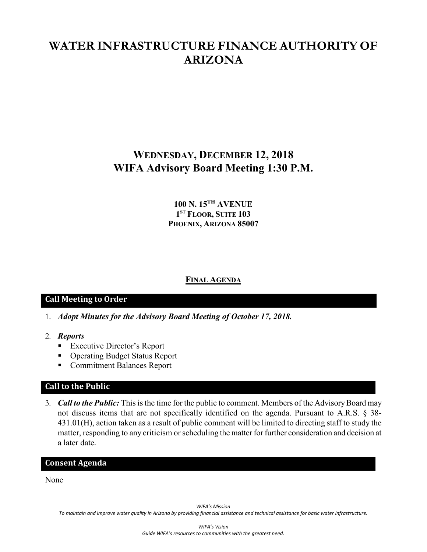# **WATER INFRASTRUCTURE FINANCE AUTHORITY OF ARIZONA**

# **WEDNESDAY, DECEMBER 12, 2018 WIFA Advisory Board Meeting 1:30 P.M.**

# **100 N. 15TH AVENUE 1ST FLOOR, SUITE 103 PHOENIX, ARIZONA 85007**

## **FINAL AGENDA**

## **Call Meeting to Order**

- 1. *Adopt Minutes for the Advisory Board Meeting of October 17, 2018.*
- 2. *Reports*
	- **Executive Director's Report**
	- Operating Budget Status Report
	- **Commitment Balances Report**

## **Call to the Public**

3. *Call to the Public:* This is the time for the public to comment. Members of the AdvisoryBoard may not discuss items that are not specifically identified on the agenda. Pursuant to A.R.S. § 38- 431.01(H), action taken as a result of public comment will be limited to directing staff to study the matter, responding to any criticism or scheduling the matter for further consideration and decision at a later date.

## **Consent Agenda**

None

*WIFA's Mission*

*To maintain and improve water quality in Arizona by providing financial assistance and technical assistance for basic water infrastructure.*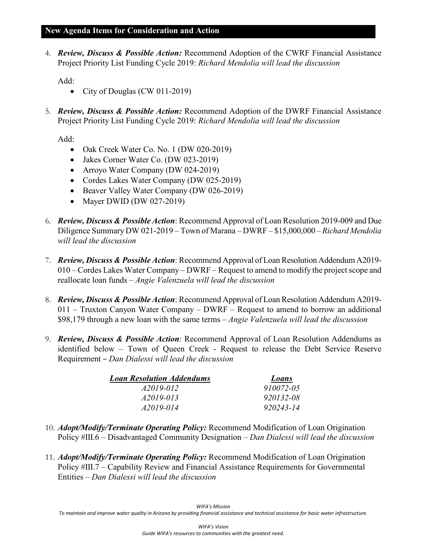## **New Agenda Items for Consideration and Action**

4. *Review, Discuss & Possible Action:* Recommend Adoption of the CWRF Financial Assistance Project Priority List Funding Cycle 2019: *Richard Mendolia will lead the discussion*

Add:

- City of Douglas (CW 011-2019)
- 5. *Review, Discuss & Possible Action:* Recommend Adoption of the DWRF Financial Assistance Project Priority List Funding Cycle 2019: *Richard Mendolia will lead the discussion*

Add:

- Oak Creek Water Co. No. 1 (DW 020-2019)
- Jakes Corner Water Co. (DW 023-2019)
- Arroyo Water Company (DW 024-2019)
- Cordes Lakes Water Company (DW 025-2019)
- Beaver Valley Water Company (DW 026-2019)
- Mayer DWID (DW 027-2019)
- 6. *Review, Discuss & Possible Action*: Recommend Approval of Loan Resolution 2019-009 and Due Diligence Summary DW 021-2019 – Town of Marana – DWRF – \$15,000,000 –*Richard Mendolia will lead the discussion*
- 7. *Review, Discuss & Possible Action*: Recommend Approval of Loan Resolution Addendum A2019- 010 – Cordes Lakes Water Company – DWRF – Request to amend to modify the project scope and reallocate loan funds – *Angie Valenzuela will lead the discussion*
- 8. *Review, Discuss & Possible Action*: Recommend Approval of Loan Resolution Addendum A2019- 011 – Truxton Canyon Water Company – DWRF – Request to amend to borrow an additional \$98,179 through a new loan with the same terms – *Angie Valenzuela will lead the discussion*
- 9. *Review, Discuss & Possible Action*: Recommend Approval of Loan Resolution Addendums as identified below – Town of Queen Creek - Request to release the Debt Service Reserve Requirement – *Dan Dialessi will lead the discussion*

| <b>Loan Resolution Addendums</b> | Loans     |
|----------------------------------|-----------|
| A2019-012                        | 910072-05 |
| A2019-013                        | 920132-08 |
| A2019-014                        | 920243-14 |

- 10. *Adopt/Modify/Terminate Operating Policy:* Recommend Modification of Loan Origination Policy #III.6 – Disadvantaged Community Designation *– Dan Dialessi will lead the discussion*
- 11. *Adopt/Modify/Terminate Operating Policy:* Recommend Modification of Loan Origination Policy #III.7 – Capability Review and Financial Assistance Requirements for Governmental Entities *– Dan Dialessi will lead the discussion*

*WIFA's Mission To maintain and improve water quality in Arizona by providing financial assistance and technical assistance for basic water infrastructure.*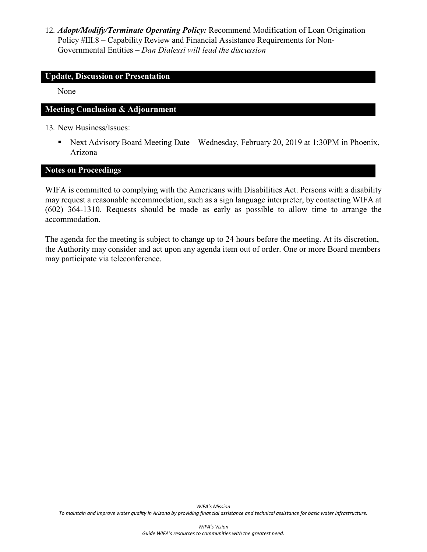12. *Adopt/Modify/Terminate Operating Policy:* Recommend Modification of Loan Origination Policy #III.8 – Capability Review and Financial Assistance Requirements for Non-Governmental Entities *– Dan Dialessi will lead the discussion*

### **Update, Discussion or Presentation**

None

## **Meeting Conclusion & Adjournment**

13. New Business/Issues:

■ Next Advisory Board Meeting Date – Wednesday, February 20, 2019 at 1:30PM in Phoenix, Arizona

#### **Notes on Proceedings**

WIFA is committed to complying with the Americans with Disabilities Act. Persons with a disability may request a reasonable accommodation, such as a sign language interpreter, by contacting WIFA at (602) 364-1310. Requests should be made as early as possible to allow time to arrange the accommodation.

The agenda for the meeting is subject to change up to 24 hours before the meeting. At its discretion, the Authority may consider and act upon any agenda item out of order. One or more Board members may participate via teleconference.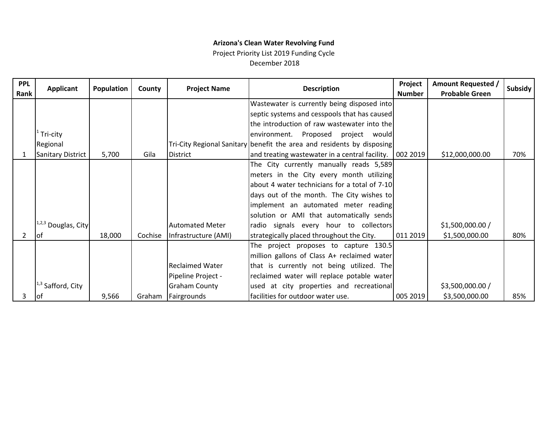# **Arizona's Clean Water Revolving Fund**

Project Priority List 2019 Funding Cycle December 2018

| <b>PPL</b><br>Rank | <b>Applicant</b>         | Population | County  | <b>Project Name</b>    | <b>Description</b>                                                     | Project<br><b>Number</b> | <b>Amount Requested /</b><br><b>Probable Green</b> | Subsidy |
|--------------------|--------------------------|------------|---------|------------------------|------------------------------------------------------------------------|--------------------------|----------------------------------------------------|---------|
|                    |                          |            |         |                        | Wastewater is currently being disposed into                            |                          |                                                    |         |
|                    |                          |            |         |                        | septic systems and cesspools that has caused                           |                          |                                                    |         |
|                    |                          |            |         |                        | the introduction of raw wastewater into the                            |                          |                                                    |         |
|                    | Tri-city                 |            |         |                        | environment. Proposed project would                                    |                          |                                                    |         |
|                    | Regional                 |            |         |                        | Tri-City Regional Sanitary benefit the area and residents by disposing |                          |                                                    |         |
|                    | <b>Sanitary District</b> | 5,700      | Gila    | <b>District</b>        | and treating wastewater in a central facility.   002 2019              |                          | \$12,000,000.00                                    | 70%     |
|                    |                          |            |         |                        | The City currently manually reads 5,589                                |                          |                                                    |         |
|                    |                          |            |         |                        | meters in the City every month utilizing                               |                          |                                                    |         |
|                    |                          |            |         |                        | about 4 water technicians for a total of 7-10                          |                          |                                                    |         |
|                    |                          |            |         |                        | days out of the month. The City wishes to                              |                          |                                                    |         |
|                    |                          |            |         |                        | implement an automated meter reading                                   |                          |                                                    |         |
|                    |                          |            |         |                        | solution or AMI that automatically sends                               |                          |                                                    |         |
|                    | $11,2,3$ Douglas, City   |            |         | <b>Automated Meter</b> | radio signals every hour to collectors                                 |                          | \$1,500,000.00/                                    |         |
| 2                  | lof                      | 18,000     | Cochise | Infrastructure (AMI)   | strategically placed throughout the City.                              | 011 2019                 | \$1,500,000.00                                     | 80%     |
|                    |                          |            |         |                        | The project proposes to capture 130.5                                  |                          |                                                    |         |
|                    |                          |            |         |                        | million gallons of Class A+ reclaimed water                            |                          |                                                    |         |
|                    |                          |            |         | <b>Reclaimed Water</b> | that is currently not being utilized. The                              |                          |                                                    |         |
|                    |                          |            |         | Pipeline Project -     | reclaimed water will replace potable water                             |                          |                                                    |         |
|                    | $1^{,3}$ Safford, City   |            |         | <b>Graham County</b>   | used at city properties and recreational                               |                          | \$3,500,000.00 /                                   |         |
| 3                  | lot                      | 9,566      | Graham  | Fairgrounds            | facilities for outdoor water use.                                      | 005 2019                 | \$3,500,000.00                                     | 85%     |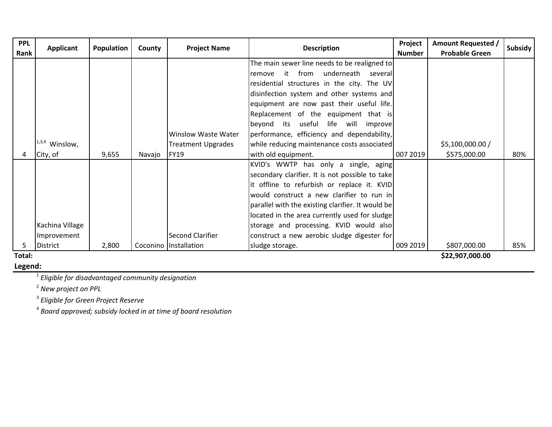| <b>PPL</b> |                  |            |        |                           |                                                   | Project       | <b>Amount Requested /</b> |         |
|------------|------------------|------------|--------|---------------------------|---------------------------------------------------|---------------|---------------------------|---------|
| Rank       | <b>Applicant</b> | Population | County | <b>Project Name</b>       | <b>Description</b>                                | <b>Number</b> | <b>Probable Green</b>     | Subsidy |
|            |                  |            |        |                           | The main sewer line needs to be realigned to      |               |                           |         |
|            |                  |            |        |                           | it from underneath several<br>remove              |               |                           |         |
|            |                  |            |        |                           | residential structures in the city. The UV        |               |                           |         |
|            |                  |            |        |                           | disinfection system and other systems and         |               |                           |         |
|            |                  |            |        |                           | equipment are now past their useful life.         |               |                           |         |
|            |                  |            |        |                           | Replacement of the equipment that is              |               |                           |         |
|            |                  |            |        |                           | beyond its useful life will improve               |               |                           |         |
|            |                  |            |        | Winslow Waste Water       | performance, efficiency and dependability,        |               |                           |         |
|            | $1,3,4$ Winslow, |            |        | <b>Treatment Upgrades</b> | while reducing maintenance costs associated       |               | \$5,100,000.00 /          |         |
|            | City, of         | 9,655      | Navajo | <b>FY19</b>               | with old equipment.                               | 007 2019      | \$575,000.00              | 80%     |
|            |                  |            |        |                           | KVID's WWTP has only a single, aging              |               |                           |         |
|            |                  |            |        |                           | secondary clarifier. It is not possible to take   |               |                           |         |
|            |                  |            |        |                           | it offline to refurbish or replace it. KVID       |               |                           |         |
|            |                  |            |        |                           | would construct a new clarifier to run in         |               |                           |         |
|            |                  |            |        |                           | parallel with the existing clarifier. It would be |               |                           |         |
|            |                  |            |        |                           | located in the area currently used for sludge     |               |                           |         |
|            | Kachina Village  |            |        |                           | storage and processing. KVID would also           |               |                           |         |
|            | Improvement      |            |        | Second Clarifier          | construct a new aerobic sludge digester for       |               |                           |         |
|            | <b>District</b>  | 2,800      |        | Coconino   Installation   | sludge storage.                                   | 009 2019      | \$807,000.00              | 85%     |
| Total:     |                  |            |        |                           |                                                   |               | \$22,907,000.00           |         |

**Legend:**

1 *Eligible for disadvantaged community designation*

2 *New project on PPL*

3 *Eligible for Green Project Reserve*

4 *Board approved; subsidy locked in at time of board resolution*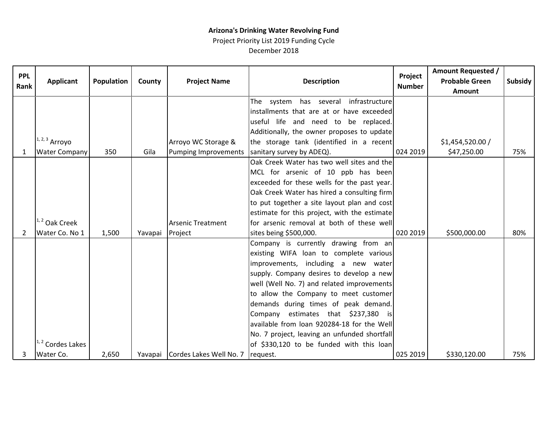## **Arizona's Drinking Water Revolving Fund**

Project Priority List 2019 Funding Cycle December 2018

| <b>PPL</b><br>Rank | <b>Applicant</b>     | Population | County  | <b>Project Name</b>             | <b>Description</b>                           | Project<br><b>Number</b> | <b>Amount Requested /</b><br><b>Probable Green</b><br>Amount | <b>Subsidy</b> |
|--------------------|----------------------|------------|---------|---------------------------------|----------------------------------------------|--------------------------|--------------------------------------------------------------|----------------|
|                    |                      |            |         |                                 | The system has several infrastructure        |                          |                                                              |                |
|                    |                      |            |         |                                 | installments that are at or have exceeded    |                          |                                                              |                |
|                    |                      |            |         |                                 | useful life and need to be replaced.         |                          |                                                              |                |
|                    |                      |            |         |                                 | Additionally, the owner proposes to update   |                          |                                                              |                |
|                    | $1, 2, 3$ Arroyo     |            |         | Arroyo WC Storage &             | the storage tank (identified in a recent     |                          | \$1,454,520.00/                                              |                |
| $\mathbf{1}$       | <b>Water Company</b> | 350        | Gila    | <b>Pumping Improvements</b>     | sanitary survey by ADEQ).                    | 024 2019                 | \$47,250.00                                                  | 75%            |
|                    |                      |            |         |                                 | Oak Creek Water has two well sites and the   |                          |                                                              |                |
|                    |                      |            |         |                                 | MCL for arsenic of 10 ppb has been           |                          |                                                              |                |
|                    |                      |            |         |                                 | exceeded for these wells for the past year.  |                          |                                                              |                |
|                    |                      |            |         |                                 | Oak Creek Water has hired a consulting firm  |                          |                                                              |                |
|                    |                      |            |         |                                 | to put together a site layout plan and cost  |                          |                                                              |                |
|                    |                      |            |         |                                 | estimate for this project, with the estimate |                          |                                                              |                |
|                    | $1, 2$ Oak Creek     |            |         | <b>Arsenic Treatment</b>        | for arsenic removal at both of these well    |                          |                                                              |                |
| 2                  | Water Co. No 1       | 1,500      | Yavapai | Project                         | sites being \$500,000.                       | 020 2019                 | \$500,000.00                                                 | 80%            |
|                    |                      |            |         |                                 | Company is currently drawing from an         |                          |                                                              |                |
|                    |                      |            |         |                                 | existing WIFA loan to complete various       |                          |                                                              |                |
|                    |                      |            |         |                                 | improvements, including a new water          |                          |                                                              |                |
|                    |                      |            |         |                                 | supply. Company desires to develop a new     |                          |                                                              |                |
|                    |                      |            |         |                                 | well (Well No. 7) and related improvements   |                          |                                                              |                |
|                    |                      |            |         |                                 | to allow the Company to meet customer        |                          |                                                              |                |
|                    |                      |            |         |                                 | demands during times of peak demand.         |                          |                                                              |                |
|                    |                      |            |         |                                 | Company estimates that \$237,380 is          |                          |                                                              |                |
|                    |                      |            |         |                                 | available from loan 920284-18 for the Well   |                          |                                                              |                |
|                    |                      |            |         |                                 | No. 7 project, leaving an unfunded shortfall |                          |                                                              |                |
|                    | $1, 2$ Cordes Lakes  |            |         |                                 | of \$330,120 to be funded with this loan     |                          |                                                              |                |
| 3                  | Water Co.            | 2,650      |         | Yavapai Cordes Lakes Well No. 7 | request.                                     | 025 2019                 | \$330,120.00                                                 | 75%            |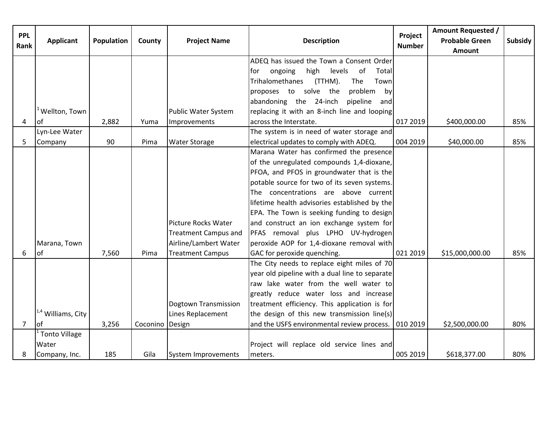| <b>PPL</b><br>Rank | <b>Applicant</b>              | Population | County          | <b>Project Name</b>         | <b>Description</b>                                    | Project<br><b>Number</b> | <b>Amount Requested /</b><br><b>Probable Green</b><br><b>Amount</b> | <b>Subsidy</b> |
|--------------------|-------------------------------|------------|-----------------|-----------------------------|-------------------------------------------------------|--------------------------|---------------------------------------------------------------------|----------------|
|                    |                               |            |                 |                             | ADEQ has issued the Town a Consent Order              |                          |                                                                     |                |
|                    |                               |            |                 |                             | ongoing<br>high<br>levels<br>of<br>Total<br>for       |                          |                                                                     |                |
|                    |                               |            |                 |                             | Trihalomethanes<br>(TTHM).<br>Town<br>The             |                          |                                                                     |                |
|                    |                               |            |                 |                             | proposes to solve the<br>problem<br>by                |                          |                                                                     |                |
|                    |                               |            |                 |                             | abandoning the 24-inch<br>pipeline<br>and             |                          |                                                                     |                |
|                    | <sup>1</sup> Wellton, Town    |            |                 | <b>Public Water System</b>  | replacing it with an 8-inch line and looping          |                          |                                                                     |                |
| 4                  | of                            | 2,882      | Yuma            | Improvements                | across the Interstate.                                | 017 2019                 | \$400,000.00                                                        | 85%            |
|                    | Lyn-Lee Water                 |            |                 |                             | The system is in need of water storage and            |                          |                                                                     |                |
| 5                  | Company                       | 90         | Pima            | <b>Water Storage</b>        | electrical updates to comply with ADEQ.               | 004 2019                 | \$40,000.00                                                         | 85%            |
|                    |                               |            |                 |                             | Marana Water has confirmed the presence               |                          |                                                                     |                |
|                    |                               |            |                 |                             | of the unregulated compounds 1,4-dioxane,             |                          |                                                                     |                |
|                    |                               |            |                 |                             | PFOA, and PFOS in groundwater that is the             |                          |                                                                     |                |
|                    |                               |            |                 |                             | potable source for two of its seven systems.          |                          |                                                                     |                |
|                    |                               |            |                 |                             | The concentrations are above current                  |                          |                                                                     |                |
|                    |                               |            |                 |                             | lifetime health advisories established by the         |                          |                                                                     |                |
|                    |                               |            |                 |                             | EPA. The Town is seeking funding to design            |                          |                                                                     |                |
|                    |                               |            |                 | Picture Rocks Water         | and construct an ion exchange system for              |                          |                                                                     |                |
|                    |                               |            |                 | <b>Treatment Campus and</b> | PFAS removal plus LPHO UV-hydrogen                    |                          |                                                                     |                |
|                    | Marana, Town                  |            |                 | Airline/Lambert Water       | peroxide AOP for 1,4-dioxane removal with             |                          |                                                                     |                |
| 6                  | of                            | 7,560      | Pima            | <b>Treatment Campus</b>     | GAC for peroxide quenching.                           | 021 2019                 | \$15,000,000.00                                                     | 85%            |
|                    |                               |            |                 |                             | The City needs to replace eight miles of 70           |                          |                                                                     |                |
|                    |                               |            |                 |                             | year old pipeline with a dual line to separate        |                          |                                                                     |                |
|                    |                               |            |                 |                             | raw lake water from the well water to                 |                          |                                                                     |                |
|                    |                               |            |                 |                             | greatly reduce water loss and increase                |                          |                                                                     |                |
|                    |                               |            |                 | Dogtown Transmission        | treatment efficiency. This application is for         |                          |                                                                     |                |
|                    | <sup>1,4</sup> Williams, City |            |                 | Lines Replacement           | the design of this new transmission line(s)           |                          |                                                                     |                |
| $\overline{7}$     | οf                            | 3,256      | Coconino Design |                             | and the USFS environmental review process.   010 2019 |                          | \$2,500,000.00                                                      | 80%            |
|                    | <b>Tonto Village</b>          |            |                 |                             |                                                       |                          |                                                                     |                |
|                    | Water                         |            |                 |                             | Project will replace old service lines and            |                          |                                                                     |                |
| 8                  | Company, Inc.                 | 185        | Gila            | System Improvements         | meters.                                               | 005 2019                 | \$618,377.00                                                        | 80%            |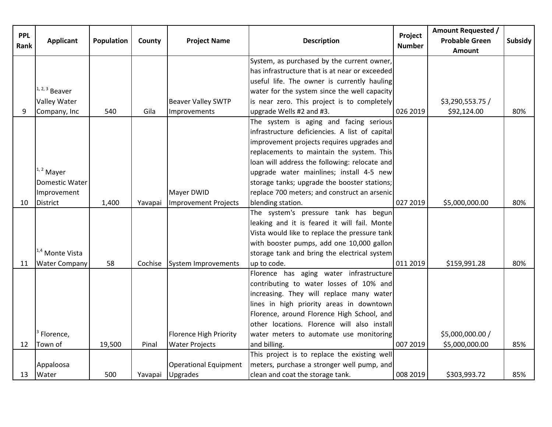| <b>PPL</b><br>Rank | <b>Applicant</b>           | Population | County  | <b>Project Name</b>           | <b>Description</b>                             | Project<br><b>Number</b> | <b>Amount Requested /</b><br><b>Probable Green</b><br><b>Amount</b> | Subsidy |
|--------------------|----------------------------|------------|---------|-------------------------------|------------------------------------------------|--------------------------|---------------------------------------------------------------------|---------|
|                    |                            |            |         |                               | System, as purchased by the current owner,     |                          |                                                                     |         |
|                    |                            |            |         |                               | has infrastructure that is at near or exceeded |                          |                                                                     |         |
|                    |                            |            |         |                               | useful life. The owner is currently hauling    |                          |                                                                     |         |
|                    | $1, 2, 3$ Beaver           |            |         |                               | water for the system since the well capacity   |                          |                                                                     |         |
|                    | <b>Valley Water</b>        |            |         | <b>Beaver Valley SWTP</b>     | is near zero. This project is to completely    |                          | \$3,290,553.75 /                                                    |         |
| 9                  | Company, Inc               | 540        | Gila    | Improvements                  | upgrade Wells #2 and #3.                       | 026 2019                 | \$92,124.00                                                         | 80%     |
|                    |                            |            |         |                               | The system is aging and facing serious         |                          |                                                                     |         |
|                    |                            |            |         |                               | infrastructure deficiencies. A list of capital |                          |                                                                     |         |
|                    |                            |            |         |                               | improvement projects requires upgrades and     |                          |                                                                     |         |
|                    |                            |            |         |                               | replacements to maintain the system. This      |                          |                                                                     |         |
|                    |                            |            |         |                               | loan will address the following: relocate and  |                          |                                                                     |         |
|                    | $1, 2$ Mayer               |            |         |                               | upgrade water mainlines; install 4-5 new       |                          |                                                                     |         |
|                    | Domestic Water             |            |         |                               | storage tanks; upgrade the booster stations;   |                          |                                                                     |         |
|                    | Improvement                |            |         | Mayer DWID                    | replace 700 meters; and construct an arsenic   |                          |                                                                     |         |
| 10                 | <b>District</b>            | 1,400      | Yavapai | Improvement Projects          | blending station.                              | 027 2019                 | \$5,000,000.00                                                      | 80%     |
|                    |                            |            |         |                               | The system's pressure tank has begun           |                          |                                                                     |         |
|                    |                            |            |         |                               | leaking and it is feared it will fail. Monte   |                          |                                                                     |         |
|                    |                            |            |         |                               | Vista would like to replace the pressure tank  |                          |                                                                     |         |
|                    |                            |            |         |                               | with booster pumps, add one 10,000 gallon      |                          |                                                                     |         |
|                    | <sup>1,4</sup> Monte Vista |            |         |                               | storage tank and bring the electrical system   |                          |                                                                     |         |
| 11                 | <b>Water Company</b>       | 58         | Cochise | System Improvements           | up to code.                                    | 011 2019                 | \$159,991.28                                                        | 80%     |
|                    |                            |            |         |                               | Florence has aging water infrastructure        |                          |                                                                     |         |
|                    |                            |            |         |                               | contributing to water losses of 10% and        |                          |                                                                     |         |
|                    |                            |            |         |                               | increasing. They will replace many water       |                          |                                                                     |         |
|                    |                            |            |         |                               | lines in high priority areas in downtown       |                          |                                                                     |         |
|                    |                            |            |         |                               | Florence, around Florence High School, and     |                          |                                                                     |         |
|                    |                            |            |         |                               | other locations. Florence will also install    |                          |                                                                     |         |
|                    | Florence,                  |            |         | <b>Florence High Priority</b> | water meters to automate use monitoring        |                          | \$5,000,000.00 /                                                    |         |
| 12                 | Town of                    | 19,500     | Pinal   | <b>Water Projects</b>         | and billing.                                   | 007 2019                 | \$5,000,000.00                                                      | 85%     |
|                    |                            |            |         |                               | This project is to replace the existing well   |                          |                                                                     |         |
|                    | Appaloosa                  |            |         | <b>Operational Equipment</b>  | meters, purchase a stronger well pump, and     |                          |                                                                     |         |
| 13                 | Water                      | 500        | Yavapai | <b>Upgrades</b>               | clean and coat the storage tank.               | 008 2019                 | \$303,993.72                                                        | 85%     |